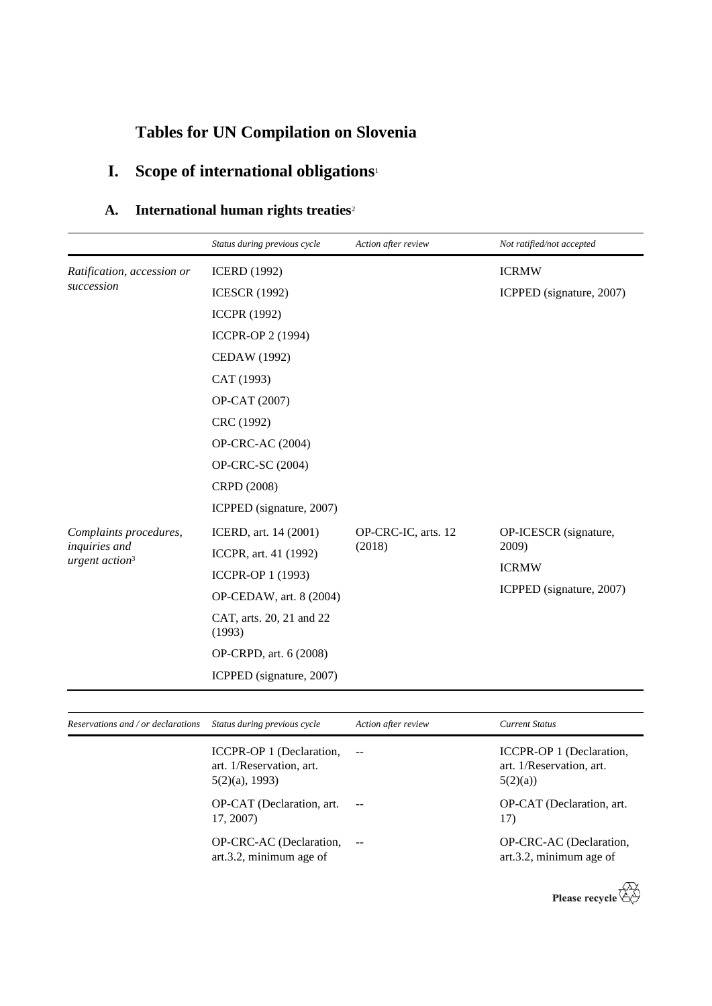# **Tables for UN Compilation on Slovenia**

# **I. Scope of international obligations**<sup>1</sup>

### **A. International human rights treaties**<sup>2</sup>

|                                             | Status during previous cycle       | Action after review | Not ratified/not accepted |
|---------------------------------------------|------------------------------------|---------------------|---------------------------|
| Ratification, accession or                  | <b>ICERD</b> (1992)                |                     | <b>ICRMW</b>              |
| succession                                  | <b>ICESCR (1992)</b>               |                     | ICPPED (signature, 2007)  |
|                                             | <b>ICCPR (1992)</b>                |                     |                           |
|                                             | ICCPR-OP 2 (1994)                  |                     |                           |
|                                             | CEDAW (1992)                       |                     |                           |
|                                             | CAT (1993)                         |                     |                           |
|                                             | OP-CAT (2007)                      |                     |                           |
|                                             | CRC (1992)                         |                     |                           |
|                                             | <b>OP-CRC-AC (2004)</b>            |                     |                           |
|                                             | OP-CRC-SC (2004)                   |                     |                           |
|                                             | CRPD (2008)                        |                     |                           |
|                                             | ICPPED (signature, 2007)           |                     |                           |
| Complaints procedures,                      | ICERD, art. 14 (2001)              | OP-CRC-IC, arts. 12 | OP-ICESCR (signature,     |
| inquiries and<br>urgent action <sup>3</sup> | ICCPR, art. 41 (1992)              | (2018)              | 2009)                     |
|                                             | ICCPR-OP 1 (1993)                  |                     | <b>ICRMW</b>              |
|                                             | OP-CEDAW, art. 8 (2004)            |                     | ICPPED (signature, 2007)  |
|                                             | CAT, arts. 20, 21 and 22<br>(1993) |                     |                           |
|                                             | OP-CRPD, art. 6 (2008)             |                     |                           |
|                                             | ICPPED (signature, 2007)           |                     |                           |

| Reservations and / or declarations | Status during previous cycle                                              | Action after review | <b>Current Status</b>                                           |
|------------------------------------|---------------------------------------------------------------------------|---------------------|-----------------------------------------------------------------|
|                                    | ICCPR-OP 1 (Declaration,<br>art. 1/Reservation, art.<br>$5(2)(a)$ , 1993) |                     | ICCPR-OP 1 (Declaration,<br>art. 1/Reservation, art.<br>5(2)(a) |
|                                    | OP-CAT (Declaration, art.<br>17, 2007)                                    |                     | OP-CAT (Declaration, art.<br>17)                                |
|                                    | OP-CRC-AC (Declaration,<br>art.3.2, minimum age of                        | $\sim$ $-$          | OP-CRC-AC (Declaration,<br>art.3.2, minimum age of              |

Please recycle  $\overleftrightarrow{C}$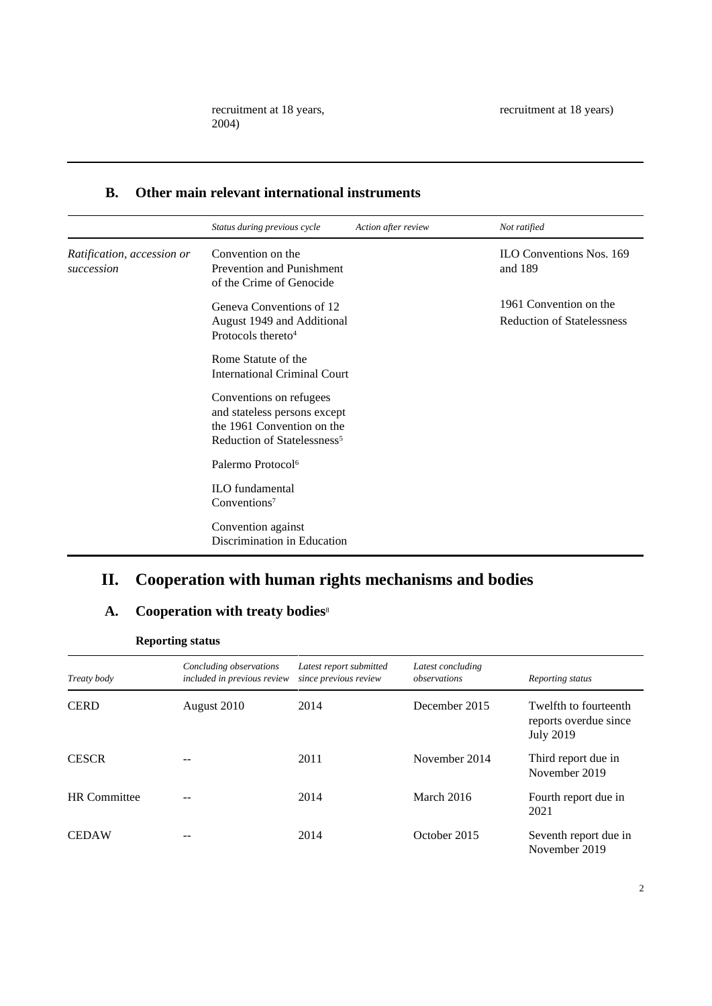#### **B. Other main relevant international instruments**

|                                          | Status during previous cycle                                                                                                     | Action after review | Not ratified                                                |
|------------------------------------------|----------------------------------------------------------------------------------------------------------------------------------|---------------------|-------------------------------------------------------------|
| Ratification, accession or<br>succession | Convention on the<br><b>Prevention and Punishment</b><br>of the Crime of Genocide                                                |                     | <b>ILO Conventions Nos. 169</b><br>and 189                  |
|                                          | Geneva Conventions of 12<br>August 1949 and Additional<br>Protocols thereto <sup>4</sup>                                         |                     | 1961 Convention on the<br><b>Reduction of Statelessness</b> |
|                                          | Rome Statute of the<br><b>International Criminal Court</b>                                                                       |                     |                                                             |
|                                          | Conventions on refugees<br>and stateless persons except<br>the 1961 Convention on the<br>Reduction of Statelessness <sup>5</sup> |                     |                                                             |
|                                          | Palermo Protocol <sup>6</sup>                                                                                                    |                     |                                                             |
|                                          | <b>ILO</b> fundamental<br>Conventions <sup>7</sup>                                                                               |                     |                                                             |
|                                          | Convention against<br>Discrimination in Education                                                                                |                     |                                                             |

### **II. Cooperation with human rights mechanisms and bodies**

### **A. Cooperation with treaty bodies**<sup>8</sup>

| <b>Reporting status</b> |                                                        |                                                  |                                   |                                                                    |  |
|-------------------------|--------------------------------------------------------|--------------------------------------------------|-----------------------------------|--------------------------------------------------------------------|--|
| Treaty body             | Concluding observations<br>included in previous review | Latest report submitted<br>since previous review | Latest concluding<br>observations | Reporting status                                                   |  |
| <b>CERD</b>             | August 2010                                            | 2014                                             | December 2015                     | Twelfth to fourteenth<br>reports overdue since<br><b>July 2019</b> |  |
| <b>CESCR</b>            |                                                        | 2011                                             | November 2014                     | Third report due in<br>November 2019                               |  |
| <b>HR</b> Committee     |                                                        | 2014                                             | March 2016                        | Fourth report due in<br>2021                                       |  |
| <b>CEDAW</b>            |                                                        | 2014                                             | October 2015                      | Seventh report due in<br>November 2019                             |  |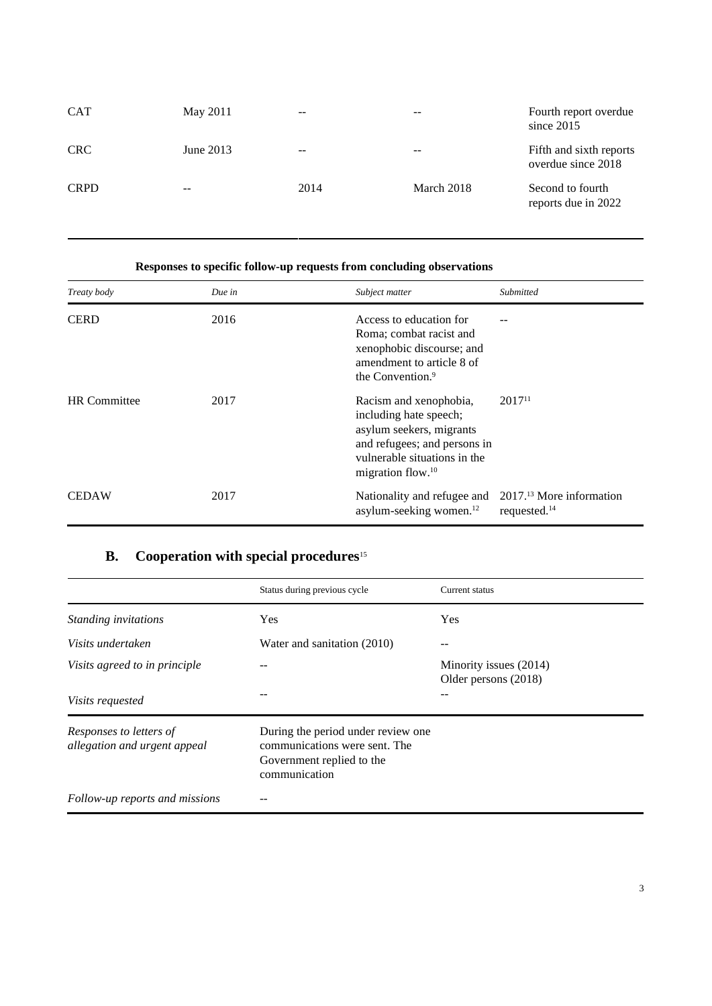| <b>CAT</b>  | May 2011  | $- -$ |            | Fourth report overdue<br>since $2015$         |
|-------------|-----------|-------|------------|-----------------------------------------------|
| <b>CRC</b>  | June 2013 | $- -$ | $- -$      | Fifth and sixth reports<br>overdue since 2018 |
| <b>CRPD</b> | $- -$     | 2014  | March 2018 | Second to fourth<br>reports due in 2022       |

#### **Responses to specific follow-up requests from concluding observations**

| Treaty body         | Due in | Subject matter                                                                                                                                                                | Submitted       |
|---------------------|--------|-------------------------------------------------------------------------------------------------------------------------------------------------------------------------------|-----------------|
| <b>CERD</b>         | 2016   | Access to education for<br>Roma; combat racist and<br>xenophobic discourse; and<br>amendment to article 8 of<br>the Convention. <sup>9</sup>                                  |                 |
| <b>HR</b> Committee | 2017   | Racism and xenophobia,<br>including hate speech;<br>asylum seekers, migrants<br>and refugees; and persons in<br>vulnerable situations in the<br>migration flow. <sup>10</sup> | $2017^{11}$     |
| <b>CEDAW</b>        | 2017   | Nationality and refugee and 2017. <sup>13</sup> More information<br>asylum-seeking women. <sup>12</sup>                                                                       | requested. $14$ |

### **B. Cooperation with special procedures**<sup>15</sup>

|                                                         | Status during previous cycle                                                                                       | Current status                                 |
|---------------------------------------------------------|--------------------------------------------------------------------------------------------------------------------|------------------------------------------------|
| Standing invitations                                    | Yes                                                                                                                | Yes                                            |
| Visits undertaken                                       | Water and sanitation (2010)                                                                                        |                                                |
| Visits agreed to in principle                           |                                                                                                                    | Minority issues (2014)<br>Older persons (2018) |
| <i>Visits requested</i>                                 |                                                                                                                    |                                                |
| Responses to letters of<br>allegation and urgent appeal | During the period under review one.<br>communications were sent. The<br>Government replied to the<br>communication |                                                |
| Follow-up reports and missions                          |                                                                                                                    |                                                |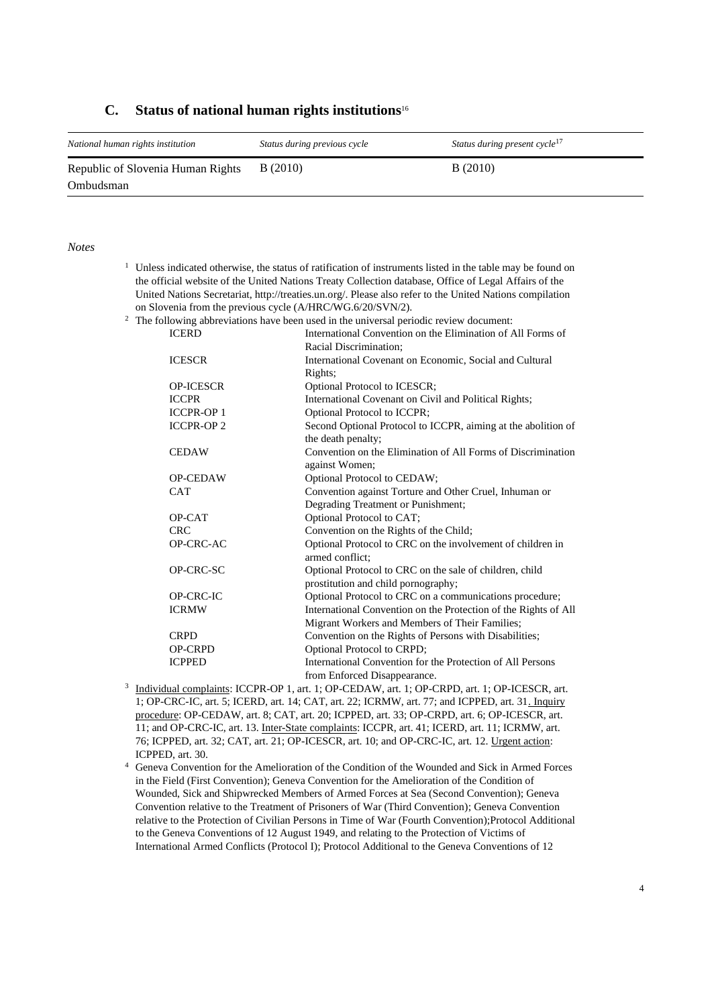#### **C. Status of national human rights institutions**<sup>16</sup>

| National human rights institution | Status during previous cycle | Status during present cycle <sup>17</sup> |
|-----------------------------------|------------------------------|-------------------------------------------|
| Republic of Slovenia Human Rights | B(2010)                      | B(2010)                                   |
| Ombudsman                         |                              |                                           |

#### *Notes*

| $1$ Unless indicated otherwise, the status of ratification of instruments listed in the table may be found on |
|---------------------------------------------------------------------------------------------------------------|
| the official website of the United Nations Treaty Collection database, Office of Legal Affairs of the         |
| United Nations Secretariat, http://treaties.un.org/. Please also refer to the United Nations compilation      |
| on Slovenia from the previous cycle (A/HRC/WG.6/20/SVN/2).                                                    |

 $2$  The following abbreviations have been used in the universal periodic review document:

| <b>ICERD</b>     | International Convention on the Elimination of All Forms of     |
|------------------|-----------------------------------------------------------------|
|                  | Racial Discrimination;                                          |
| <b>ICESCR</b>    | International Covenant on Economic, Social and Cultural         |
|                  | Rights;                                                         |
| <b>OP-ICESCR</b> | Optional Protocol to ICESCR;                                    |
| <b>ICCPR</b>     | International Covenant on Civil and Political Rights;           |
| <b>ICCPR-OP1</b> | Optional Protocol to ICCPR;                                     |
| <b>ICCPR-OP2</b> | Second Optional Protocol to ICCPR, aiming at the abolition of   |
|                  | the death penalty;                                              |
| <b>CEDAW</b>     | Convention on the Elimination of All Forms of Discrimination    |
|                  | against Women;                                                  |
| <b>OP-CEDAW</b>  | Optional Protocol to CEDAW;                                     |
| <b>CAT</b>       | Convention against Torture and Other Cruel, Inhuman or          |
|                  | Degrading Treatment or Punishment;                              |
| OP-CAT           | Optional Protocol to CAT;                                       |
| <b>CRC</b>       | Convention on the Rights of the Child;                          |
| OP-CRC-AC        | Optional Protocol to CRC on the involvement of children in      |
|                  | armed conflict:                                                 |
| OP-CRC-SC        | Optional Protocol to CRC on the sale of children, child         |
|                  | prostitution and child pornography;                             |
| OP-CRC-IC        | Optional Protocol to CRC on a communications procedure;         |
| <b>ICRMW</b>     | International Convention on the Protection of the Rights of All |
|                  | Migrant Workers and Members of Their Families;                  |
| <b>CRPD</b>      | Convention on the Rights of Persons with Disabilities;          |
| <b>OP-CRPD</b>   | <b>Optional Protocol to CRPD;</b>                               |
| <b>ICPPED</b>    | International Convention for the Protection of All Persons      |
|                  | from Enforced Disappearance.                                    |

- <sup>3</sup> Individual complaints: ICCPR-OP 1, art. 1; OP-CEDAW, art. 1; OP-CRPD, art. 1; OP-ICESCR, art. 1; OP-CRC-IC, art. 5; ICERD, art. 14; CAT, art. 22; ICRMW, art. 77; and ICPPED, art. 31. Inquiry procedure: OP-CEDAW, art. 8; CAT, art. 20; ICPPED, art. 33; OP-CRPD, art. 6; OP-ICESCR, art. 11; and OP-CRC-IC, art. 13. Inter-State complaints: ICCPR, art. 41; ICERD, art. 11; ICRMW, art. 76; ICPPED, art. 32; CAT, art. 21; OP-ICESCR, art. 10; and OP-CRC-IC, art. 12. Urgent action: ICPPED, art. 30.
- <sup>4</sup> Geneva Convention for the Amelioration of the Condition of the Wounded and Sick in Armed Forces in the Field (First Convention); Geneva Convention for the Amelioration of the Condition of Wounded, Sick and Shipwrecked Members of Armed Forces at Sea (Second Convention); Geneva Convention relative to the Treatment of Prisoners of War (Third Convention); Geneva Convention relative to the Protection of Civilian Persons in Time of War (Fourth Convention);Protocol Additional to the Geneva Conventions of 12 August 1949, and relating to the Protection of Victims of International Armed Conflicts (Protocol I); Protocol Additional to the Geneva Conventions of 12